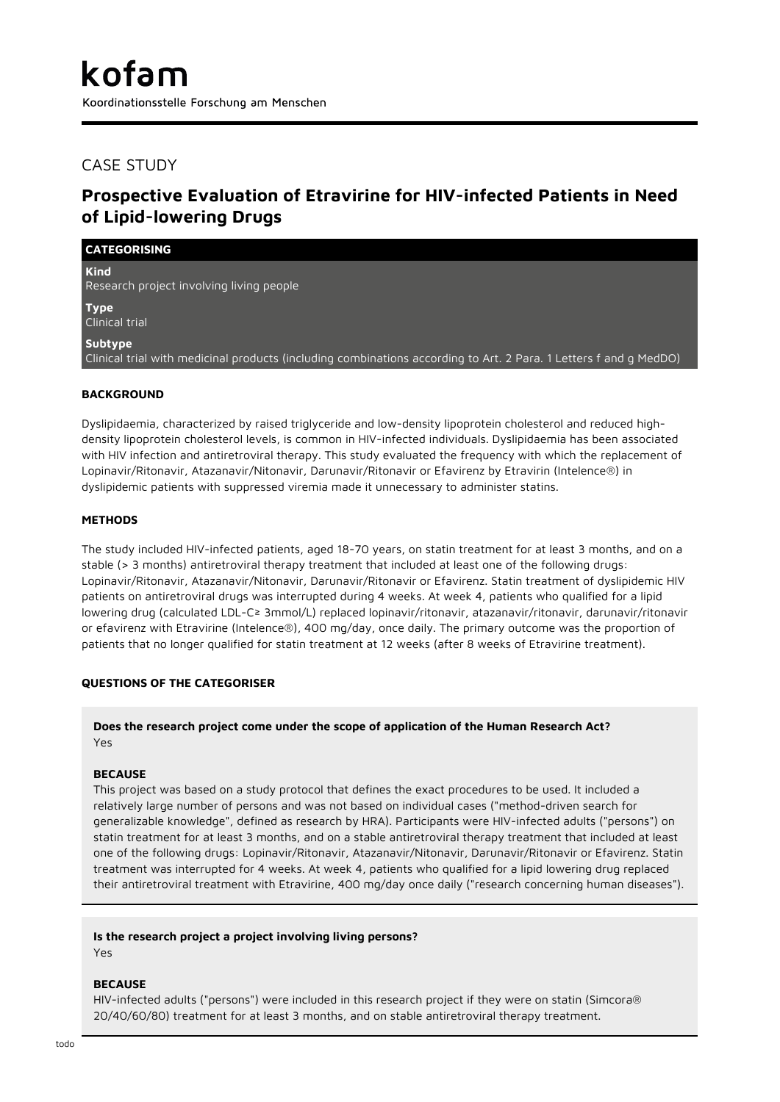# CASE STUDY

# **Prospective Evaluation of Etravirine for HIV-infected Patients in Need of Lipid-lowering Drugs**

| <b>CATEGORISING</b>                                                                                                          |
|------------------------------------------------------------------------------------------------------------------------------|
| <b>Kind</b><br>Research project involving living people                                                                      |
| <b>Type</b><br>Clinical trial                                                                                                |
| Subtype<br>Clinical trial with medicinal products (including combinations according to Art. 2 Para. 1 Letters f and g MedDO) |

## **BACKGROUND**

Dyslipidaemia, characterized by raised triglyceride and low-density lipoprotein cholesterol and reduced highdensity lipoprotein cholesterol levels, is common in HIV-infected individuals. Dyslipidaemia has been associated with HIV infection and antiretroviral therapy. This study evaluated the frequency with which the replacement of Lopinavir/Ritonavir, Atazanavir/Nitonavir, Darunavir/Ritonavir or Efavirenz by Etravirin (Intelence®) in dyslipidemic patients with suppressed viremia made it unnecessary to administer statins.

## **METHODS**

The study included HIV-infected patients, aged 18-70 years, on statin treatment for at least 3 months, and on a stable (> 3 months) antiretroviral therapy treatment that included at least one of the following drugs: Lopinavir/Ritonavir, Atazanavir/Nitonavir, Darunavir/Ritonavir or Efavirenz. Statin treatment of dyslipidemic HIV patients on antiretroviral drugs was interrupted during 4 weeks. At week 4, patients who qualified for a lipid lowering drug (calculated LDL-C≥ 3mmol/L) replaced lopinavir/ritonavir, atazanavir/ritonavir, darunavir/ritonavir or efavirenz with Etravirine (Intelence®), 400 mg/day, once daily. The primary outcome was the proportion of patients that no longer qualified for statin treatment at 12 weeks (after 8 weeks of Etravirine treatment).

## **QUESTIONS OF THE CATEGORISER**

## **Does the research project come under the scope of application of the Human Research Act?** Yes

#### **BECAUSE**

This project was based on a study protocol that defines the exact procedures to be used. It included a relatively large number of persons and was not based on individual cases ("method-driven search for generalizable knowledge", defined as research by HRA). Participants were HIV-infected adults ("persons") on statin treatment for at least 3 months, and on a stable antiretroviral therapy treatment that included at least one of the following drugs: Lopinavir/Ritonavir, Atazanavir/Nitonavir, Darunavir/Ritonavir or Efavirenz. Statin treatment was interrupted for 4 weeks. At week 4, patients who qualified for a lipid lowering drug replaced their antiretroviral treatment with Etravirine, 400 mg/day once daily ("research concerning human diseases").

#### **Is the research project a project involving living persons?**

Yes

#### **BECAUSE**

HIV-infected adults ("persons") were included in this research project if they were on statin (Simcora® 20/40/60/80) treatment for at least 3 months, and on stable antiretroviral therapy treatment.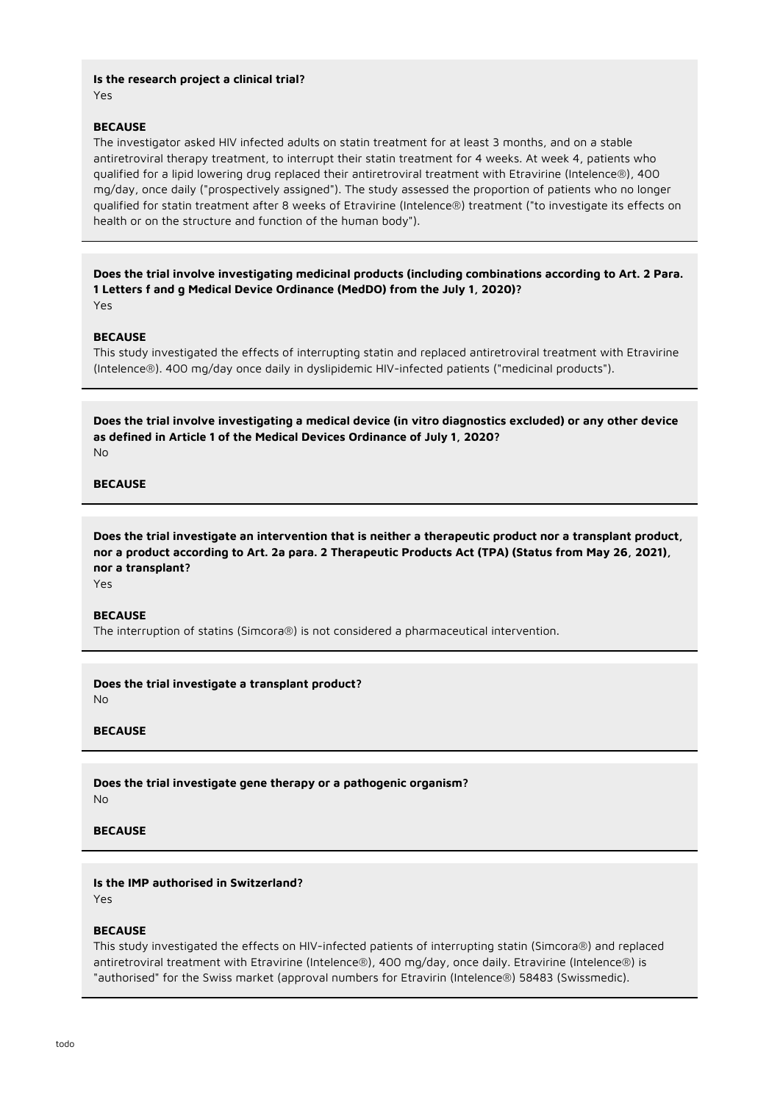**Is the research project a clinical trial?** Yes

#### **BECAUSE**

The investigator asked HIV infected adults on statin treatment for at least 3 months, and on a stable antiretroviral therapy treatment, to interrupt their statin treatment for 4 weeks. At week 4, patients who qualified for a lipid lowering drug replaced their antiretroviral treatment with Etravirine (Intelence®), 400 mg/day, once daily ("prospectively assigned"). The study assessed the proportion of patients who no longer qualified for statin treatment after 8 weeks of Etravirine (Intelence®) treatment ("to investigate its effects on health or on the structure and function of the human body").

**Does the trial involve investigating medicinal products (including combinations according to Art. 2 Para. 1 Letters f and g Medical Device Ordinance (MedDO) from the July 1, 2020)?** Yes

#### **BECAUSE**

This study investigated the effects of interrupting statin and replaced antiretroviral treatment with Etravirine (Intelence®). 400 mg/day once daily in dyslipidemic HIV-infected patients ("medicinal products").

**Does the trial involve investigating a medical device (in vitro diagnostics excluded) or any other device as defined in Article 1 of the Medical Devices Ordinance of July 1, 2020?** No

#### **BECAUSE**

**Does the trial investigate an intervention that is neither a therapeutic product nor a transplant product, nor a product according to Art. 2a para. 2 Therapeutic Products Act (TPA) (Status from May 26, 2021), nor a transplant?**

Yes

#### **BECAUSE**

The interruption of statins (Simcora®) is not considered a pharmaceutical intervention.

**Does the trial investigate a transplant product?**

No

## **BECAUSE**

**Does the trial investigate gene therapy or a pathogenic organism?** No

#### **BECAUSE**

## **Is the IMP authorised in Switzerland?**

Yes

#### **BECAUSE**

This study investigated the effects on HIV-infected patients of interrupting statin (Simcora®) and replaced antiretroviral treatment with Etravirine (Intelence®), 400 mg/day, once daily. Etravirine (Intelence®) is "authorised" for the Swiss market (approval numbers for Etravirin (Intelence®) 58483 (Swissmedic).